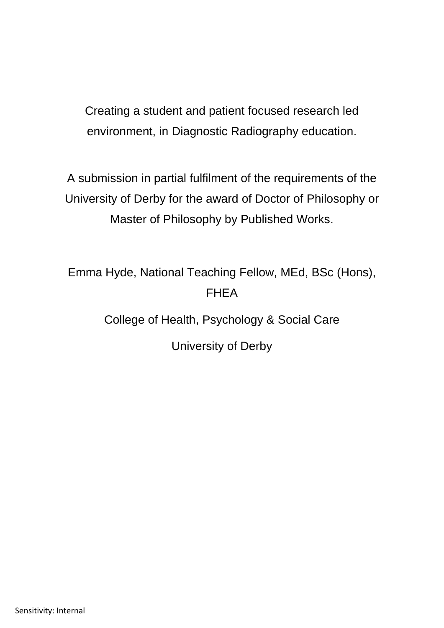Creating a student and patient focused research led environment, in Diagnostic Radiography education.

A submission in partial fulfilment of the requirements of the University of Derby for the award of Doctor of Philosophy or Master of Philosophy by Published Works.

Emma Hyde, National Teaching Fellow, MEd, BSc (Hons), FHEA

College of Health, Psychology & Social Care

University of Derby